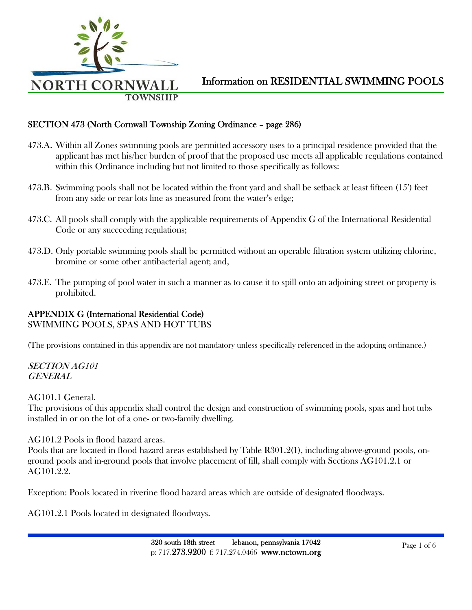

### SECTION 473 (North Cornwall Township Zoning Ordinance – page 286)

- 473.A. Within all Zones swimming pools are permitted accessory uses to a principal residence provided that the applicant has met his/her burden of proof that the proposed use meets all applicable regulations contained within this Ordinance including but not limited to those specifically as follows:
- 473.B. Swimming pools shall not be located within the front yard and shall be setback at least fifteen (15') feet from any side or rear lots line as measured from the water's edge;
- 473.C. All pools shall comply with the applicable requirements of Appendix G of the International Residential Code or any succeeding regulations;
- 473.D. Only portable swimming pools shall be permitted without an operable filtration system utilizing chlorine, bromine or some other antibacterial agent; and,
- 473.E. The pumping of pool water in such a manner as to cause it to spill onto an adjoining street or property is prohibited.

### APPENDIX G (International Residential Code)

SWIMMING POOLS, SPAS AND HOT TUBS

(The provisions contained in this appendix are not mandatory unless specifically referenced in the adopting ordinance.)

SECTION AG101 GENERAL

AG101.1 General.

The provisions of this appendix shall control the design and construction of swimming pools, spas and hot tubs installed in or on the lot of a one- or two-family dwelling.

AG101.2 Pools in flood hazard areas.

Pools that are located in flood hazard areas established by Table R301.2(1), including above-ground pools, onground pools and in-ground pools that involve placement of fill, shall comply with Sections AG101.2.1 or AG101.2.2.

Exception: Pools located in riverine flood hazard areas which are outside of designated floodways.

AG101.2.1 Pools located in designated floodways.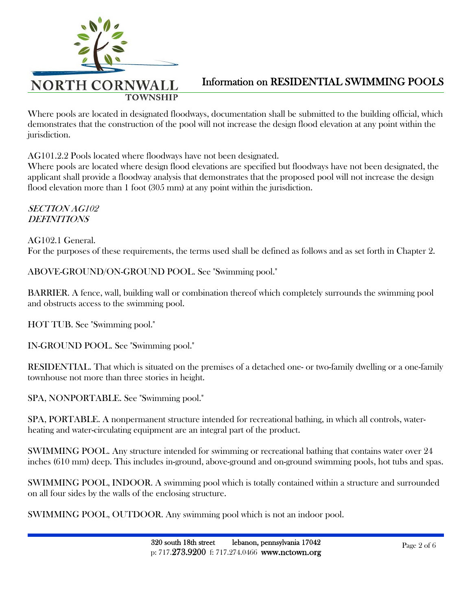

Where pools are located in designated floodways, documentation shall be submitted to the building official, which demonstrates that the construction of the pool will not increase the design flood elevation at any point within the jurisdiction.

AG101.2.2 Pools located where floodways have not been designated.

Where pools are located where design flood elevations are specified but floodways have not been designated, the applicant shall provide a floodway analysis that demonstrates that the proposed pool will not increase the design flood elevation more than 1 foot (305 mm) at any point within the jurisdiction.

### SECTION AG102 DEFINITIONS

AG102.1 General. For the purposes of these requirements, the terms used shall be defined as follows and as set forth in Chapter 2.

ABOVE-GROUND/ON-GROUND POOL. See "Swimming pool."

BARRIER. A fence, wall, building wall or combination thereof which completely surrounds the swimming pool and obstructs access to the swimming pool.

HOT TUB. See "Swimming pool."

IN-GROUND POOL. See "Swimming pool."

RESIDENTIAL. That which is situated on the premises of a detached one- or two-family dwelling or a one-family townhouse not more than three stories in height.

SPA, NONPORTABLE. See "Swimming pool."

SPA, PORTABLE. A nonpermanent structure intended for recreational bathing, in which all controls, waterheating and water-circulating equipment are an integral part of the product.

SWIMMING POOL. Any structure intended for swimming or recreational bathing that contains water over 24 inches (610 mm) deep. This includes in-ground, above-ground and on-ground swimming pools, hot tubs and spas.

SWIMMING POOL, INDOOR. A swimming pool which is totally contained within a structure and surrounded on all four sides by the walls of the enclosing structure.

SWIMMING POOL, OUTDOOR. Any swimming pool which is not an indoor pool.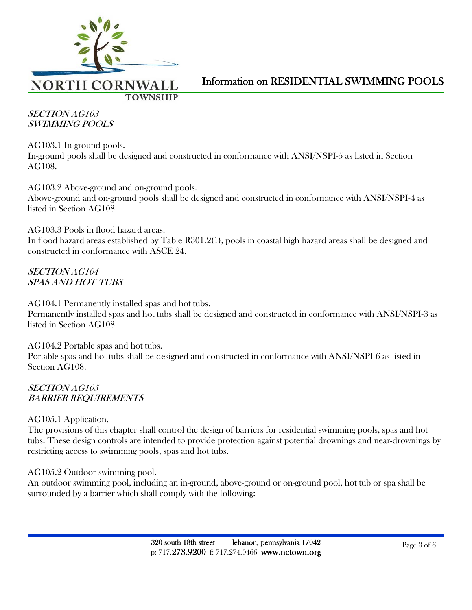

SECTION AG103 SWIMMING POOLS

AG103.1 In-ground pools. In-ground pools shall be designed and constructed in conformance with ANSI/NSPI-5 as listed in Section AG108.

AG103.2 Above-ground and on-ground pools. Above-ground and on-ground pools shall be designed and constructed in conformance with ANSI/NSPI-4 as listed in Section AG108.

AG103.3 Pools in flood hazard areas. In flood hazard areas established by Table R301.2(1), pools in coastal high hazard areas shall be designed and constructed in conformance with ASCE 24.

SECTION AG104 SPAS AND HOT TUBS

AG104.1 Permanently installed spas and hot tubs. Permanently installed spas and hot tubs shall be designed and constructed in conformance with ANSI/NSPI-3 as listed in Section AG108.

AG104.2 Portable spas and hot tubs. Portable spas and hot tubs shall be designed and constructed in conformance with ANSI/NSPI-6 as listed in Section AG108.

SECTION AG105 BARRIER REQUIREMENTS

AG105.1 Application.

The provisions of this chapter shall control the design of barriers for residential swimming pools, spas and hot tubs. These design controls are intended to provide protection against potential drownings and near-drownings by restricting access to swimming pools, spas and hot tubs.

AG105.2 Outdoor swimming pool.

An outdoor swimming pool, including an in-ground, above-ground or on-ground pool, hot tub or spa shall be surrounded by a barrier which shall comply with the following: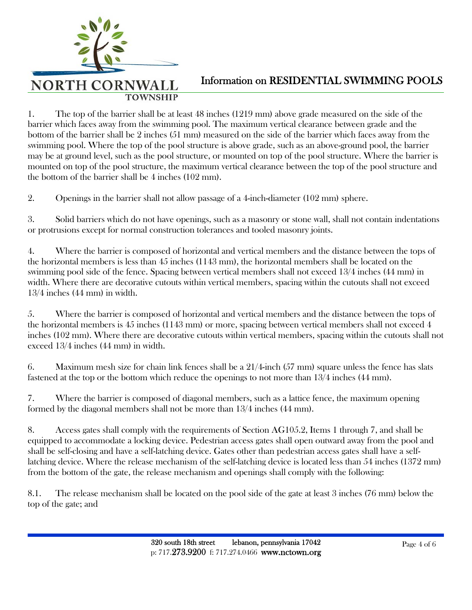

1. The top of the barrier shall be at least 48 inches (1219 mm) above grade measured on the side of the barrier which faces away from the swimming pool. The maximum vertical clearance between grade and the bottom of the barrier shall be 2 inches (51 mm) measured on the side of the barrier which faces away from the swimming pool. Where the top of the pool structure is above grade, such as an above-ground pool, the barrier may be at ground level, such as the pool structure, or mounted on top of the pool structure. Where the barrier is mounted on top of the pool structure, the maximum vertical clearance between the top of the pool structure and the bottom of the barrier shall be 4 inches (102 mm).

2. Openings in the barrier shall not allow passage of a 4-inch-diameter (102 mm) sphere.

3. Solid barriers which do not have openings, such as a masonry or stone wall, shall not contain indentations or protrusions except for normal construction tolerances and tooled masonry joints.

4. Where the barrier is composed of horizontal and vertical members and the distance between the tops of the horizontal members is less than 45 inches (1143 mm), the horizontal members shall be located on the swimming pool side of the fence. Spacing between vertical members shall not exceed 13/4 inches (44 mm) in width. Where there are decorative cutouts within vertical members, spacing within the cutouts shall not exceed 13/4 inches (44 mm) in width.

5. Where the barrier is composed of horizontal and vertical members and the distance between the tops of the horizontal members is 45 inches (1143 mm) or more, spacing between vertical members shall not exceed 4 inches (102 mm). Where there are decorative cutouts within vertical members, spacing within the cutouts shall not exceed 13/4 inches (44 mm) in width.

6. Maximum mesh size for chain link fences shall be a 21/4-inch (57 mm) square unless the fence has slats fastened at the top or the bottom which reduce the openings to not more than 13/4 inches (44 mm).

7. Where the barrier is composed of diagonal members, such as a lattice fence, the maximum opening formed by the diagonal members shall not be more than 13/4 inches (44 mm).

8. Access gates shall comply with the requirements of Section AG105.2, Items 1 through 7, and shall be equipped to accommodate a locking device. Pedestrian access gates shall open outward away from the pool and shall be self-closing and have a self-latching device. Gates other than pedestrian access gates shall have a selflatching device. Where the release mechanism of the self-latching device is located less than 54 inches (1372 mm) from the bottom of the gate, the release mechanism and openings shall comply with the following:

8.1. The release mechanism shall be located on the pool side of the gate at least 3 inches (76 mm) below the top of the gate; and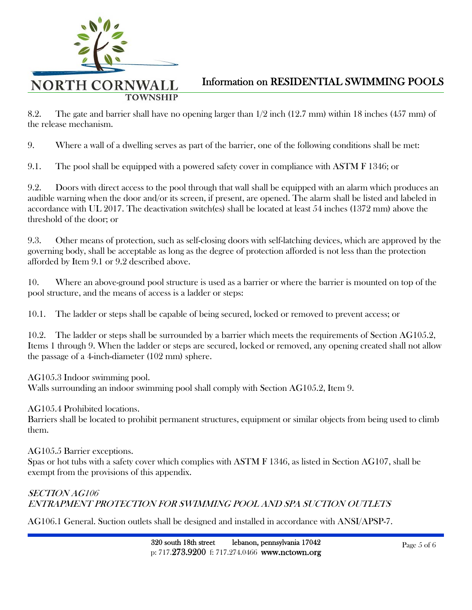

8.2. The gate and barrier shall have no opening larger than 1/2 inch (12.7 mm) within 18 inches (457 mm) of the release mechanism.

9. Where a wall of a dwelling serves as part of the barrier, one of the following conditions shall be met:

9.1. The pool shall be equipped with a powered safety cover in compliance with ASTM F 1346; or

9.2. Doors with direct access to the pool through that wall shall be equipped with an alarm which produces an audible warning when the door and/or its screen, if present, are opened. The alarm shall be listed and labeled in accordance with UL 2017. The deactivation switch(es) shall be located at least 54 inches (1372 mm) above the threshold of the door; or

9.3. Other means of protection, such as self-closing doors with self-latching devices, which are approved by the governing body, shall be acceptable as long as the degree of protection afforded is not less than the protection afforded by Item 9.1 or 9.2 described above.

10. Where an above-ground pool structure is used as a barrier or where the barrier is mounted on top of the pool structure, and the means of access is a ladder or steps:

10.1. The ladder or steps shall be capable of being secured, locked or removed to prevent access; or

10.2. The ladder or steps shall be surrounded by a barrier which meets the requirements of Section AG105.2, Items 1 through 9. When the ladder or steps are secured, locked or removed, any opening created shall not allow the passage of a 4-inch-diameter (102 mm) sphere.

AG105.3 Indoor swimming pool.

Walls surrounding an indoor swimming pool shall comply with Section AG105.2, Item 9.

AG105.4 Prohibited locations.

Barriers shall be located to prohibit permanent structures, equipment or similar objects from being used to climb them.

AG105.5 Barrier exceptions.

Spas or hot tubs with a safety cover which complies with ASTM F 1346, as listed in Section AG107, shall be exempt from the provisions of this appendix.

### SECTION AG106 ENTRAPMENT PROTECTION FOR SWIMMING POOL AND SPA SUCTION OUTLETS

AG106.1 General. Suction outlets shall be designed and installed in accordance with ANSI/APSP-7.